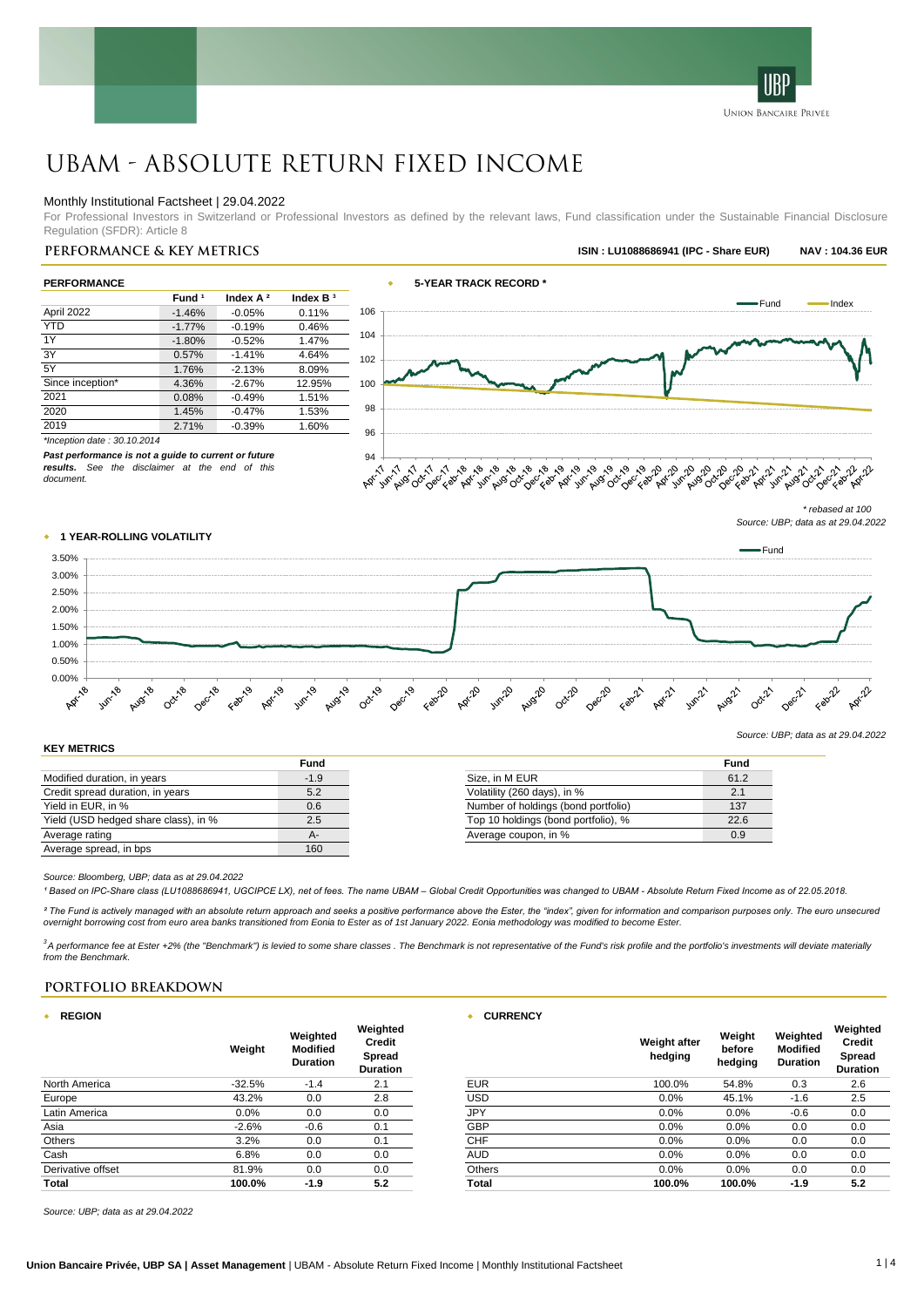

# UBAM - Absolute Return Fixed Income

## Monthly Institutional Factsheet | 29.04.2022

For Professional Investors in Switzerland or Professional Investors as defined by the relevant laws, Fund classification under the Sustainable Financial Disclosure Regulation (SFDR): Article 8

# **Performance & key metrics ISIN : LU1088686941 (IPC - Share EUR) NAV : 104.36 EUR**

| <b>PERFORMANCE</b> |                   |             |            |     |
|--------------------|-------------------|-------------|------------|-----|
|                    | Fund <sup>1</sup> | Index $A^2$ | Index $B3$ |     |
| April 2022         | $-1.46%$          | $-0.05%$    | 0.11%      | 106 |
| <b>YTD</b>         | $-1.77%$          | $-0.19%$    | 0.46%      |     |
| 1Y                 | $-1.80%$          | $-0.52%$    | 1.47%      | 104 |
| 3Y                 | 0.57%             | $-1.41%$    | 4.64%      | 102 |
| 5Y                 | 1.76%             | $-2.13%$    | 8.09%      |     |
| Since inception*   | 4.36%             | $-2.67%$    | 12.95%     | 100 |
| 2021               | 0.08%             | $-0.49%$    | 1.51%      |     |
| 2020               | 1.45%             | $-0.47%$    | 1.53%      | 98  |
| 2019               | 2.71%             | $-0.39%$    | 1.60%      | 96  |
|                    |                   |             |            |     |



*\*Inception date : 30.10.2014*

*Past performance is not a guide to current or future results. See the disclaimer at the end of this document.*

# w **1 YEAR-ROLLING VOLATILITY**

*Source: UBP; data as at 29.04.2022*



#### **KEY METRICS**

|                                      | Fund   |                                     | <b>Fund</b> |
|--------------------------------------|--------|-------------------------------------|-------------|
| Modified duration, in years          | $-1.9$ | Size, in M EUR                      | 61.2        |
| Credit spread duration, in years     | 5.2    | Volatility (260 days), in %         | 2.1         |
| Yield in EUR. in %                   | 0.6    | Number of holdings (bond portfolio) | 137         |
| Yield (USD hedged share class), in % | 2.5    | Top 10 holdings (bond portfolio), % | 22.6        |
| Average rating                       | А-     | Average coupon, in %                | 0.9         |
| Average spread, in bps               | 160    |                                     |             |

*Source: Bloomberg, UBP; data as at 29.04.2022*

*¹ Based on IPC-Share class (LU1088686941, UGCIPCE LX), net of fees. The name UBAM – Global Credit Opportunities was changed to UBAM - Absolute Return Fixed Income as of 22.05.2018.*

<sup>2</sup> The Fund is actively managed with an absolute return approach and seeks a positive performance above the Ester, the "index", given for information and comparison purposes only. The euro unsecured *overnight borrowing cost from euro area banks transitioned from Eonia to Ester as of 1st January 2022. Eonia methodology was modified to become Ester.*

<sup>3</sup>A performance fee at Ester +2% (the "Benchmark") is levied to some share classes . The Benchmark is not representative of the Fund's risk profile and the portfolio's investments will deviate materially *from the Benchmark.*

## **PORTFOLIO BREAKDOWN**

| <b>REGION</b><br>٠ |          |                                                | <b>CURRENCY</b>                                        |               |                                |                             |                                                |                                                        |
|--------------------|----------|------------------------------------------------|--------------------------------------------------------|---------------|--------------------------------|-----------------------------|------------------------------------------------|--------------------------------------------------------|
|                    | Weight   | Weighted<br><b>Modified</b><br><b>Duration</b> | Weighted<br>Credit<br><b>Spread</b><br><b>Duration</b> |               | <b>Weight after</b><br>hedging | Weight<br>before<br>hedging | Weighted<br><b>Modified</b><br><b>Duration</b> | Weighted<br><b>Credit</b><br>Spread<br><b>Duration</b> |
| North America      | $-32.5%$ | $-1.4$                                         | 2.1                                                    | <b>EUR</b>    | 100.0%                         | 54.8%                       | 0.3                                            | 2.6                                                    |
| Europe             | 43.2%    | 0.0                                            | 2.8                                                    | USD           | 0.0%                           | 45.1%                       | $-1.6$                                         | 2.5                                                    |
| Latin America      | 0.0%     | 0.0                                            | 0.0                                                    | JPY           | 0.0%                           | 0.0%                        | $-0.6$                                         | 0.0                                                    |
| Asia               | $-2.6%$  | $-0.6$                                         | 0.1                                                    | GBP           | 0.0%                           | 0.0%                        | 0.0                                            | 0.0                                                    |
| Others             | 3.2%     | 0.0                                            | 0.1                                                    | <b>CHF</b>    | 0.0%                           | 0.0%                        | 0.0                                            | 0.0                                                    |
| Cash               | 6.8%     | 0.0                                            | 0.0                                                    | <b>AUD</b>    | 0.0%                           | 0.0%                        | 0.0                                            | 0.0                                                    |
| Derivative offset  | 81.9%    | 0.0                                            | 0.0                                                    | <b>Others</b> | 0.0%                           | 0.0%                        | 0.0                                            | 0.0                                                    |
| Total              | 100.0%   | $-1.9$                                         | 5.2                                                    | Total         | 100.0%                         | 100.0%                      | $-1.9$                                         | 5.2                                                    |

*Source: UBP; data as at 29.04.2022*

*<sup>\*</sup> rebased at 100 Source: UBP; data as at 29.04.2022*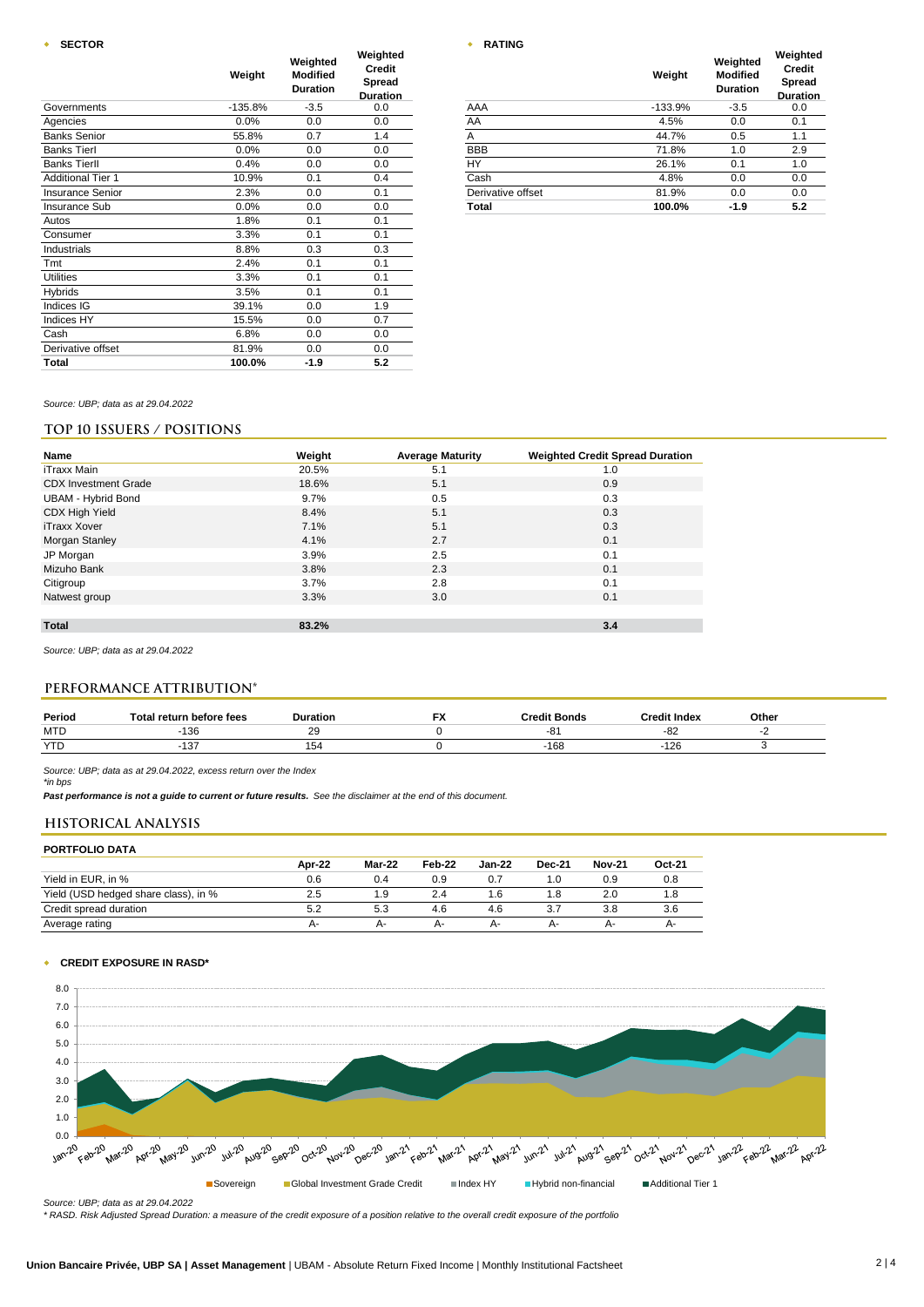### **w SECTOR**

|                          | Weight    | Weighted<br><b>Modified</b><br><b>Duration</b> | Weighted<br><b>Credit</b><br><b>Spread</b><br><b>Duration</b> |                   | Weight    | Weighted<br><b>Modified</b><br><b>Duration</b> | Weigh<br>Crec<br>Spre<br>Durat |
|--------------------------|-----------|------------------------------------------------|---------------------------------------------------------------|-------------------|-----------|------------------------------------------------|--------------------------------|
| Governments              | $-135.8%$ | $-3.5$                                         | 0.0                                                           | AAA               | $-133.9%$ | $-3.5$                                         | 0.0                            |
| Agencies                 | 0.0%      | 0.0                                            | 0.0                                                           | AA                | 4.5%      | 0.0                                            | 0.1                            |
| <b>Banks Senior</b>      | 55.8%     | 0.7                                            | 1.4                                                           | A                 | 44.7%     | 0.5                                            | 1.1                            |
| <b>Banks Tierl</b>       | 0.0%      | 0.0                                            | 0.0                                                           | <b>BBB</b>        | 71.8%     | 1.0                                            | 2.9                            |
| <b>Banks Tierll</b>      | 0.4%      | 0.0                                            | 0.0                                                           | <b>HY</b>         | 26.1%     | 0.1                                            | 1.0                            |
| <b>Additional Tier 1</b> | 10.9%     | 0.1                                            | 0.4                                                           | Cash              | 4.8%      | 0.0                                            | 0.0                            |
| <b>Insurance Senior</b>  | 2.3%      | 0.0                                            | 0.1                                                           | Derivative offset | 81.9%     | 0.0                                            | 0.0                            |
| <b>Insurance Sub</b>     | 0.0%      | 0.0                                            | 0.0                                                           | Total             | 100.0%    | $-1.9$                                         | 5.2                            |
| Autos                    | 1.8%      | 0.1                                            | 0.1                                                           |                   |           |                                                |                                |
| Consumer                 | 3.3%      | 0.1                                            | 0.1                                                           |                   |           |                                                |                                |
| Industrials              | 8.8%      | 0.3                                            | 0.3                                                           |                   |           |                                                |                                |
| Tmt                      | 2.4%      | 0.1                                            | 0.1                                                           |                   |           |                                                |                                |
| <b>Utilities</b>         | 3.3%      | 0.1                                            | 0.1                                                           |                   |           |                                                |                                |
| Hybrids                  | 3.5%      | 0.1                                            | 0.1                                                           |                   |           |                                                |                                |
| Indices IG               | 39.1%     | 0.0                                            | 1.9                                                           |                   |           |                                                |                                |
| Indices HY               | 15.5%     | 0.0                                            | 0.7                                                           |                   |           |                                                |                                |
| Cash                     | 6.8%      | 0.0                                            | 0.0                                                           |                   |           |                                                |                                |
| Derivative offset        | 81.9%     | 0.0                                            | 0.0                                                           |                   |           |                                                |                                |
| Total                    | 100.0%    | $-1.9$                                         | 5.2                                                           |                   |           |                                                |                                |

| RATING |  |
|--------|--|

|                   | Weight    | Weighted<br><b>Modified</b><br><b>Duration</b> | Weighted<br><b>Credit</b><br><b>Spread</b><br><b>Duration</b> |  |
|-------------------|-----------|------------------------------------------------|---------------------------------------------------------------|--|
| AAA               | $-133.9%$ | $-3.5$                                         | 0.0                                                           |  |
| AA                | 4.5%      | 0.0                                            | 0.1                                                           |  |
| A                 | 44.7%     | 0.5                                            | 1.1                                                           |  |
| <b>BBB</b>        | 71.8%     | 1.0                                            | 2.9                                                           |  |
| HY                | 26.1%     | 0.1                                            | 1.0                                                           |  |
| Cash              | 4.8%      | 0.0                                            | 0.0                                                           |  |
| Derivative offset | 81.9%     | 0.0                                            | 0.0                                                           |  |
| Total             | 100.0%    | $-1.9$                                         | 5.2                                                           |  |

*Source: UBP; data as at 29.04.2022*

## **TOP 10 ISSUERS / POSITIONS**

| Name                        | Weight | <b>Average Maturity</b> | <b>Weighted Credit Spread Duration</b> |
|-----------------------------|--------|-------------------------|----------------------------------------|
| iTraxx Main                 | 20.5%  | 5.1                     | 1.0                                    |
| <b>CDX</b> Investment Grade | 18.6%  | 5.1                     | 0.9                                    |
| <b>UBAM - Hybrid Bond</b>   | 9.7%   | 0.5                     | 0.3                                    |
| CDX High Yield              | 8.4%   | 5.1                     | 0.3                                    |
| iTraxx Xover                | 7.1%   | 5.1                     | 0.3                                    |
| Morgan Stanley              | 4.1%   | 2.7                     | 0.1                                    |
| JP Morgan                   | 3.9%   | 2.5                     | 0.1                                    |
| Mizuho Bank                 | 3.8%   | 2.3                     | 0.1                                    |
| Citigroup                   | 3.7%   | 2.8                     | 0.1                                    |
| Natwest group               | 3.3%   | 3.0                     | 0.1                                    |
|                             |        |                         |                                        |
| <b>Total</b>                | 83.2%  |                         | 3.4                                    |
|                             |        |                         |                                        |

*Source: UBP; data as at 29.04.2022*

## **PERFORMANCE ATTRIBUTION\***

| Period     | <b>Fotal return before fees</b> | <b>Duration</b>    | - 1<br>$\sqrt{ }$ | <b>Credit Bonds</b> | Credit Index  | Other |
|------------|---------------------------------|--------------------|-------------------|---------------------|---------------|-------|
| <b>MTD</b> | $\sim$<br>ט ש                   | $\sim$<br><b>L</b> |                   |                     | -o∠           |       |
| <b>YTD</b> | $\sim$ $-$<br>. ט               | 154<br>ישו         |                   | 168                 | $\sim$<br>12t |       |

*Source: UBP; data as at 29.04.2022, excess return over the Index \*in bps*

*Past performance is not a guide to current or future results. See the disclaimer at the end of this document.*

## **HISTORICAL ANALYSIS**

### **PORTFOLIO DATA**

|                                      | Apr-22 | Mar-22 | Feb-22 | <b>Jan-22</b> | <b>Dec-21</b> | <b>Nov-21</b> | Oct-21 |
|--------------------------------------|--------|--------|--------|---------------|---------------|---------------|--------|
| Yield in EUR. in %                   | 0.6    | 0.4    | 0.9    |               | 1.0           | 0.9           | 0.8    |
| Yield (USD hedged share class), in % | 2.5    | 1.9    |        | . 6           | l .8          | 2.0           |        |
| Credit spread duration               |        | 5.3    | 4.6    | 4.6           |               | 3.8           | 3.6    |
| Average rating                       | А-     | А-     | А-     | $A -$         | А-            | $A -$         | А-     |

#### w **CREDIT EXPOSURE IN RASD\***



*Source: UBP; data as at 29.04.2022*

*\* RASD. Risk Adjusted Spread Duration: a measure of the credit exposure of a position relative to the overall credit exposure of the portfolio*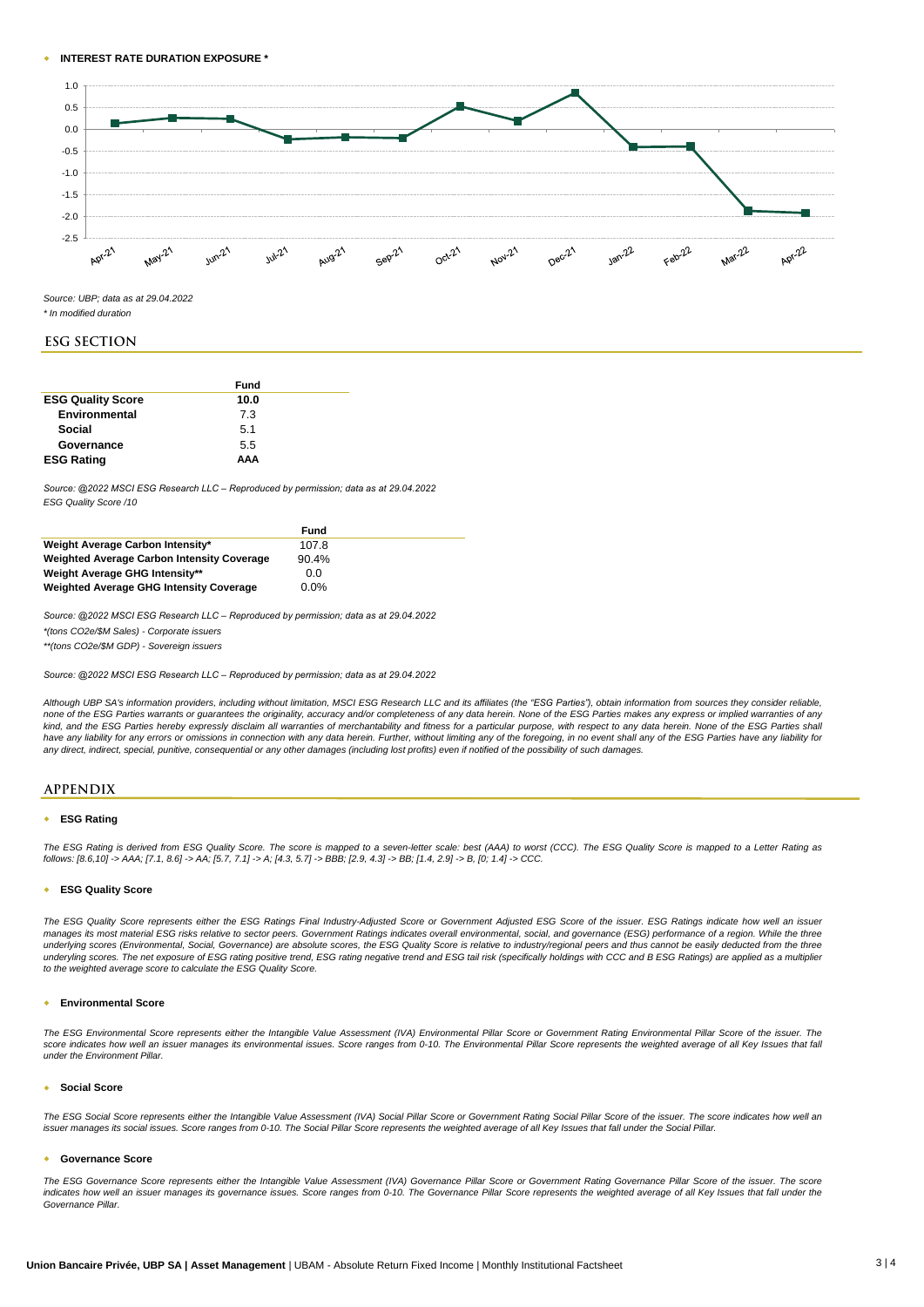#### w **INTEREST RATE DURATION EXPOSURE \***



*Source: UBP; data as at 29.04.2022*

*\* In modified duration*

#### **ESG SECTION**

|                          | Fund |  |
|--------------------------|------|--|
| <b>ESG Quality Score</b> | 10.0 |  |
| Environmental            | 7.3  |  |
| Social                   | 5.1  |  |
| Governance               | 5.5  |  |
| <b>ESG Rating</b>        | ΑΑΑ  |  |

*Source: @2022 MSCI ESG Research LLC – Reproduced by permission; data as at 29.04.2022 ESG Quality Score /10*

|                                                   | Fund    |  |
|---------------------------------------------------|---------|--|
| Weight Average Carbon Intensity*                  | 107.8   |  |
| <b>Weighted Average Carbon Intensity Coverage</b> | 90.4%   |  |
| Weight Average GHG Intensity**                    | 0.0     |  |
| <b>Weighted Average GHG Intensity Coverage</b>    | $0.0\%$ |  |

*Source: @2022 MSCI ESG Research LLC – Reproduced by permission; data as at 29.04.2022*

*\*(tons CO2e/\$M Sales) - Corporate issuers*

*\*\*(tons CO2e/\$M GDP) - Sovereign issuers*

*Source: @2022 MSCI ESG Research LLC – Reproduced by permission; data as at 29.04.2022*

Although UBP SA's information providers, including without limitation. MSCI ESG Research LLC and its affiliates (the "ESG Parties"), obtain information from sources they consider reliable. none of the ESG Parties warrants or guarantees the originality, accuracy and/or completeness of any data herein. None of the ESG Parties makes any express or implied warranties of any kind, and the ESG Parties hereby expressly disclaim all warranties of merchantability and fitness for a particular purpose, with respect to any data herein. None of the ESG Parties shall have any liability for any errors or omissions in connection with any data herein. Further, without limiting any of the foregoing, in no event shall any of the ESG Parties have any liability foi<br>any direct, indirect, speci

#### **APPENDIX**

#### **ESG Rating**

The ESG Rating is derived from ESG Quality Score. The score is mapped to a seven-letter scale: best (AAA) to worst (CCC). The ESG Quality Score is mapped to a Letter Rating as *follows: [8.6,10] -> AAA; [7.1, 8.6] -> AA; [5.7, 7.1] -> A; [4.3, 5.7] -> BBB; [2.9, 4.3] -> BB; [1.4, 2.9] -> B, [0; 1.4] -> CCC.*

#### w **ESG Quality Score**

The ESG Quality Score represents either the ESG Ratings Final Industry-Adjusted Score or Government Adjusted ESG Score of the issuer. ESG Ratings indicate how well an issuer manages its most material ESG risks relative to sector peers. Government Ratings indicates overall environmental, social, and governance (ESG) performance of a region. While the three underlying scores (Environmental, Social, Governance) are absolute scores, the ESG Quality Score is relative to industry/regional peers and thus cannot be easily deducted from the three underyling scores. The net exposure of ESG rating positive trend, ESG rating negative trend and ESG tail risk (specifically holdings with CCC and B ESG Ratings) are applied as a multipliei<br>to the weighted average score to

#### w **Environmental Score**

The ESG Environmental Score represents either the Intangible Value Assessment (IVA) Environmental Pillar Score or Government Rating Environmental Pillar Score of the issuer. The score indicates how well an issuer manages its environmental issues. Score ranges from 0-10. The Environmental Pillar Score represents the weighted average of all Key Issues that fall *under the Environment Pillar.*

#### w **Social Score**

The ESG Social Score represents either the Intangible Value Assessment (IVA) Social Pillar Score or Government Rating Social Pillar Score of the issuer. The score indicates how well an *issuer manages its social issues. Score ranges from 0-10. The Social Pillar Score represents the weighted average of all Key Issues that fall under the Social Pillar.*

#### **Governance Score**

The ESG Governance Score represents either the Intangible Value Assessment (IVA) Governance Pillar Score or Government Rating Governance Pillar Score of the issuer. The score indicates how well an issuer manages its governance issues. Score ranges from 0-10. The Governance Pillar Score represents the weighted average of all Key Issues that fall under the *Governance Pillar.*